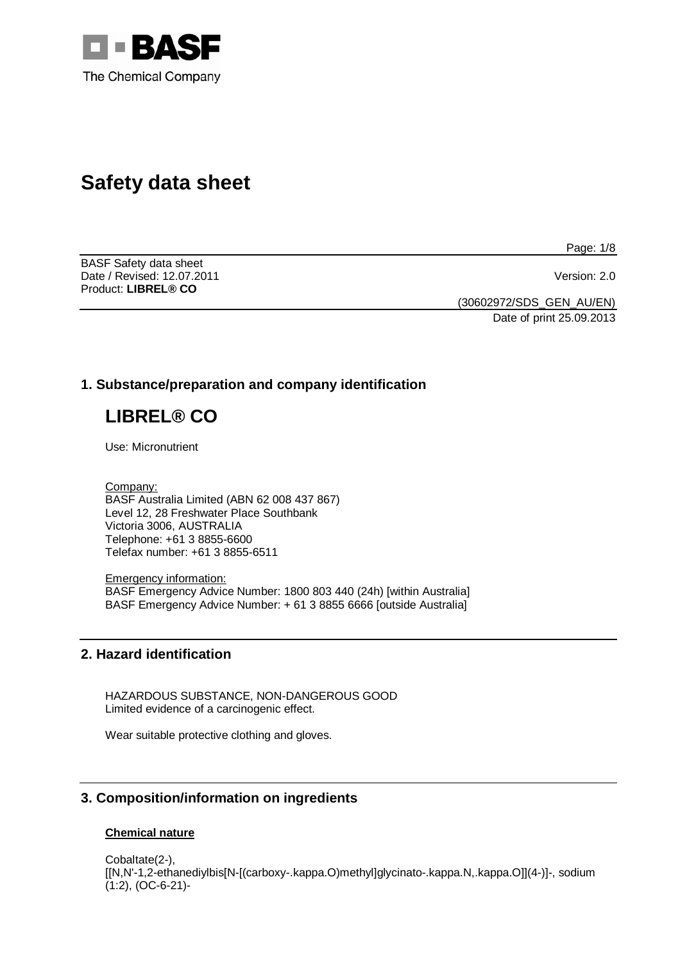

# **Safety data sheet**

Page: 1/8

BASF Safety data sheet Date / Revised: 12.07.2011 Version: 2.0 Product: **LIBREL® CO** 

(30602972/SDS\_GEN\_AU/EN)

Date of print 25.09.2013

# **1. Substance/preparation and company identification**

# **LIBREL® CO**

Use: Micronutrient

Company: BASF Australia Limited (ABN 62 008 437 867) Level 12, 28 Freshwater Place Southbank Victoria 3006, AUSTRALIA Telephone: +61 3 8855-6600 Telefax number: +61 3 8855-6511

Emergency information: BASF Emergency Advice Number: 1800 803 440 (24h) [within Australia] BASF Emergency Advice Number: + 61 3 8855 6666 [outside Australia]

# **2. Hazard identification**

HAZARDOUS SUBSTANCE, NON-DANGEROUS GOOD Limited evidence of a carcinogenic effect.

Wear suitable protective clothing and gloves.

# **3. Composition/information on ingredients**

# **Chemical nature**

Cobaltate(2-), [[N,N'-1,2-ethanediylbis[N-[(carboxy-.kappa.O)methyl]glycinato-.kappa.N,.kappa.O]](4-)]-, sodium (1:2), (OC-6-21)-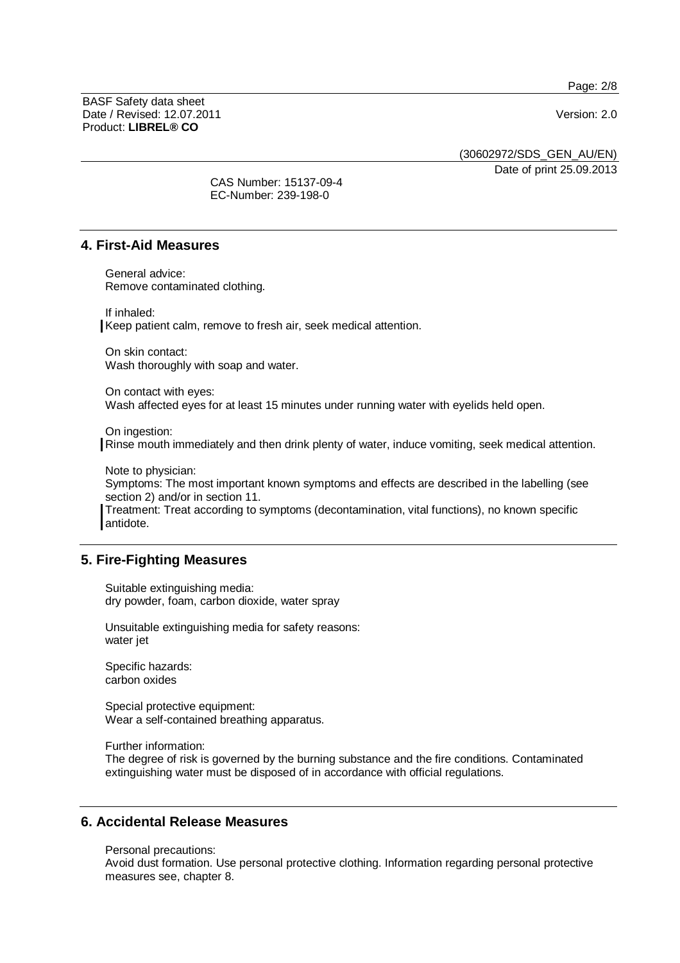Page: 2/8

BASF Safety data sheet Date / Revised: 12.07.2011 Version: 2.0 Product: **LIBREL® CO**

(30602972/SDS\_GEN\_AU/EN)

Date of print 25.09.2013

CAS Number: 15137-09-4 EC-Number: 239-198-0

### **4. First-Aid Measures**

General advice: Remove contaminated clothing.

If inhaled:

Keep patient calm, remove to fresh air, seek medical attention.

On skin contact: Wash thoroughly with soap and water.

On contact with eyes: Wash affected eyes for at least 15 minutes under running water with eyelids held open.

On ingestion:

Rinse mouth immediately and then drink plenty of water, induce vomiting, seek medical attention.

Note to physician:

Symptoms: The most important known symptoms and effects are described in the labelling (see section 2) and/or in section 11.

Treatment: Treat according to symptoms (decontamination, vital functions), no known specific antidote.

# **5. Fire-Fighting Measures**

Suitable extinguishing media: dry powder, foam, carbon dioxide, water spray

Unsuitable extinguishing media for safety reasons: water jet

Specific hazards: carbon oxides

Special protective equipment: Wear a self-contained breathing apparatus.

Further information: The degree of risk is governed by the burning substance and the fire conditions. Contaminated extinguishing water must be disposed of in accordance with official regulations.

# **6. Accidental Release Measures**

Personal precautions: Avoid dust formation. Use personal protective clothing. Information regarding personal protective measures see, chapter 8.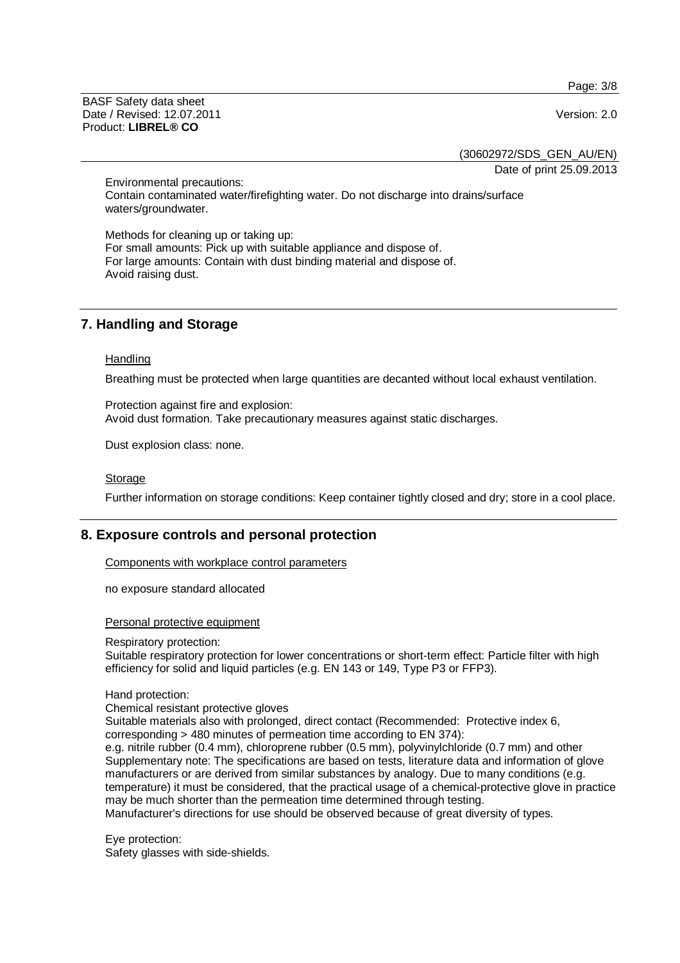Page: 3/8

BASF Safety data sheet Date / Revised: 12.07.2011 Version: 2.0 Product: **LIBREL® CO**

(30602972/SDS\_GEN\_AU/EN)

Date of print 25.09.2013

Environmental precautions: Contain contaminated water/firefighting water. Do not discharge into drains/surface waters/groundwater.

Methods for cleaning up or taking up: For small amounts: Pick up with suitable appliance and dispose of. For large amounts: Contain with dust binding material and dispose of. Avoid raising dust.

# **7. Handling and Storage**

#### **Handling**

Breathing must be protected when large quantities are decanted without local exhaust ventilation.

Protection against fire and explosion: Avoid dust formation. Take precautionary measures against static discharges.

Dust explosion class: none.

#### Storage

Further information on storage conditions: Keep container tightly closed and dry; store in a cool place.

# **8. Exposure controls and personal protection**

Components with workplace control parameters

no exposure standard allocated

#### Personal protective equipment

#### Respiratory protection:

Suitable respiratory protection for lower concentrations or short-term effect: Particle filter with high efficiency for solid and liquid particles (e.g. EN 143 or 149, Type P3 or FFP3).

#### Hand protection:

Chemical resistant protective gloves

Suitable materials also with prolonged, direct contact (Recommended: Protective index 6, corresponding > 480 minutes of permeation time according to EN 374):

e.g. nitrile rubber (0.4 mm), chloroprene rubber (0.5 mm), polyvinylchloride (0.7 mm) and other Supplementary note: The specifications are based on tests, literature data and information of glove manufacturers or are derived from similar substances by analogy. Due to many conditions (e.g. temperature) it must be considered, that the practical usage of a chemical-protective glove in practice may be much shorter than the permeation time determined through testing.

Manufacturer's directions for use should be observed because of great diversity of types.

Eye protection: Safety glasses with side-shields.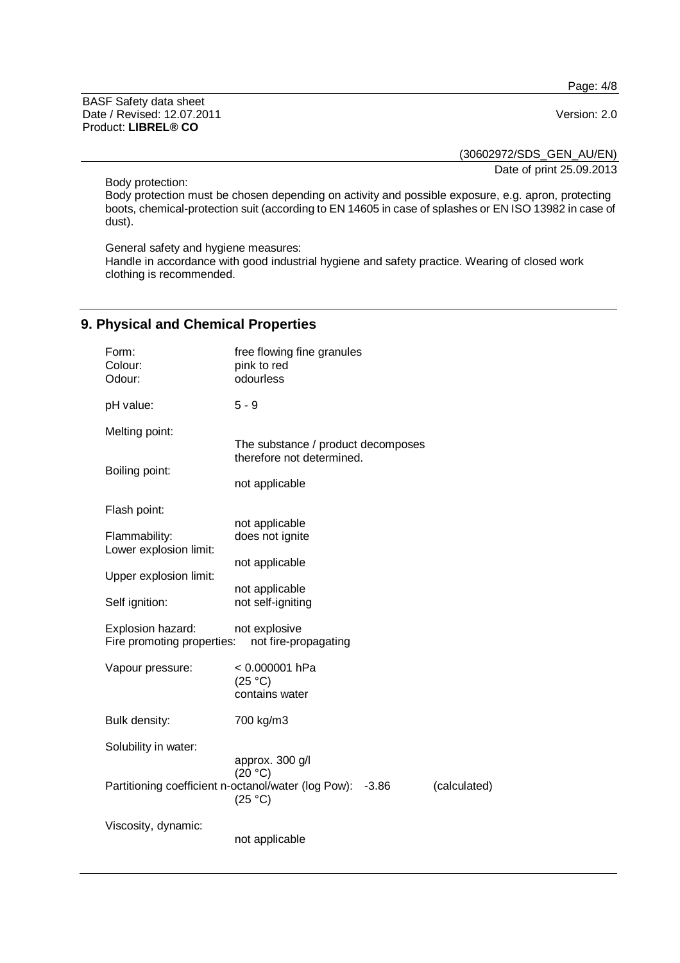Page: 4/8

BASF Safety data sheet Date / Revised: 12.07.2011 **Version: 2.0** Product: **LIBREL® CO**

(30602972/SDS\_GEN\_AU/EN)

Date of print 25.09.2013

Body protection:

Body protection must be chosen depending on activity and possible exposure, e.g. apron, protecting boots, chemical-protection suit (according to EN 14605 in case of splashes or EN ISO 13982 in case of dust).

General safety and hygiene measures:

Handle in accordance with good industrial hygiene and safety practice. Wearing of closed work clothing is recommended.

# **9. Physical and Chemical Properties**

| Form:<br>Colour:<br>Odour:                      | free flowing fine granules<br>pink to red<br>odourless                                               |
|-------------------------------------------------|------------------------------------------------------------------------------------------------------|
| pH value:                                       | $5 - 9$                                                                                              |
| Melting point:                                  | The substance / product decomposes                                                                   |
| Boiling point:                                  | therefore not determined.<br>not applicable                                                          |
| Flash point:                                    |                                                                                                      |
| Flammability:<br>Lower explosion limit:         | not applicable<br>does not ignite                                                                    |
| Upper explosion limit:                          | not applicable                                                                                       |
| Self ignition:                                  | not applicable<br>not self-igniting                                                                  |
| Explosion hazard:<br>Fire promoting properties: | not explosive<br>not fire-propagating                                                                |
| Vapour pressure:                                | < 0.000001 hPa<br>(25 °C)<br>contains water                                                          |
| Bulk density:                                   | 700 kg/m3                                                                                            |
| Solubility in water:                            | approx. 300 g/l                                                                                      |
|                                                 | (20 °C)<br>Partitioning coefficient n-octanol/water (log Pow):<br>(calculated)<br>$-3.86$<br>(25 °C) |
| Viscosity, dynamic:                             | not applicable                                                                                       |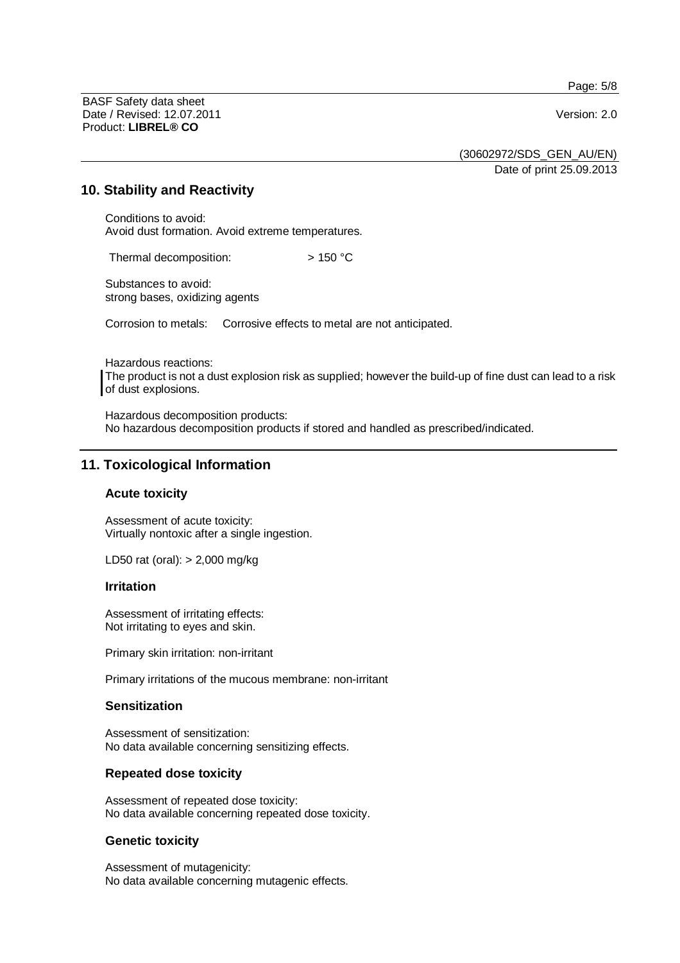Page: 5/8

BASF Safety data sheet Date / Revised: 12.07.2011 Version: 2.0 Product: **LIBREL® CO**

(30602972/SDS\_GEN\_AU/EN)

Date of print 25.09.2013

#### **10. Stability and Reactivity**

Conditions to avoid: Avoid dust formation. Avoid extreme temperatures.

Thermal decomposition:  $> 150 °C$ 

Substances to avoid: strong bases, oxidizing agents

Corrosion to metals: Corrosive effects to metal are not anticipated.

Hazardous reactions: The product is not a dust explosion risk as supplied; however the build-up of fine dust can lead to a risk of dust explosions.

Hazardous decomposition products: No hazardous decomposition products if stored and handled as prescribed/indicated.

# **11. Toxicological Information**

#### **Acute toxicity**

Assessment of acute toxicity: Virtually nontoxic after a single ingestion.

LD50 rat (oral): > 2,000 mg/kg

#### **Irritation**

Assessment of irritating effects: Not irritating to eyes and skin.

Primary skin irritation: non-irritant

Primary irritations of the mucous membrane: non-irritant

## **Sensitization**

Assessment of sensitization: No data available concerning sensitizing effects.

#### **Repeated dose toxicity**

Assessment of repeated dose toxicity: No data available concerning repeated dose toxicity.

#### **Genetic toxicity**

Assessment of mutagenicity: No data available concerning mutagenic effects.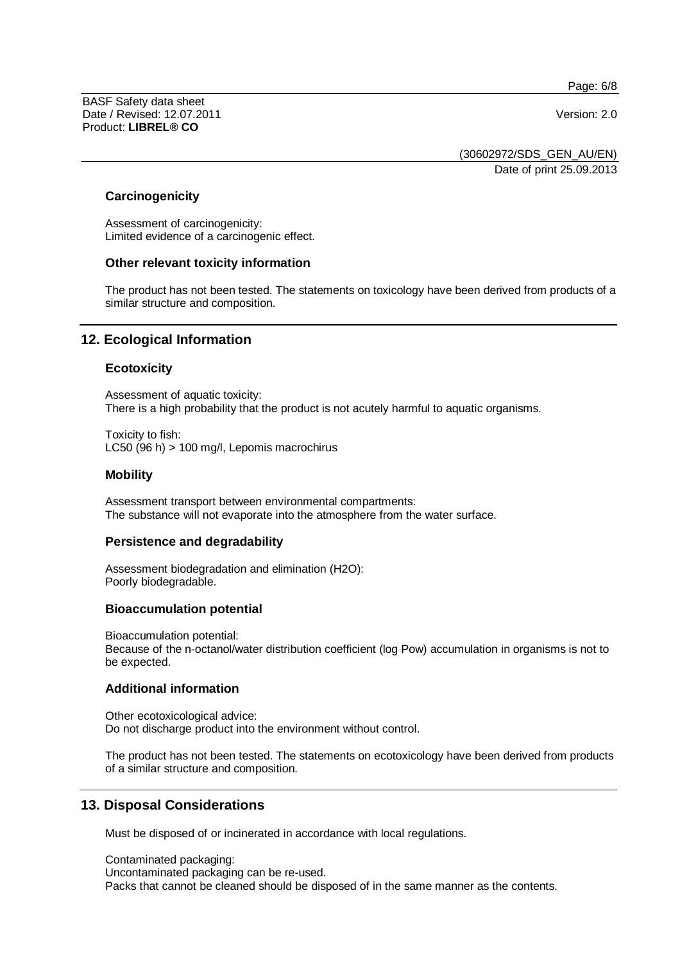Page: 6/8

BASF Safety data sheet Date / Revised: 12.07.2011 Version: 2.0 Product: **LIBREL® CO**

(30602972/SDS\_GEN\_AU/EN)

Date of print 25.09.2013

#### **Carcinogenicity**

Assessment of carcinogenicity: Limited evidence of a carcinogenic effect.

#### **Other relevant toxicity information**

The product has not been tested. The statements on toxicology have been derived from products of a similar structure and composition.

## **12. Ecological Information**

#### **Ecotoxicity**

Assessment of aquatic toxicity: There is a high probability that the product is not acutely harmful to aquatic organisms.

Toxicity to fish: LC50 (96 h) > 100 mg/l, Lepomis macrochirus

#### **Mobility**

Assessment transport between environmental compartments: The substance will not evaporate into the atmosphere from the water surface.

#### **Persistence and degradability**

Assessment biodegradation and elimination (H2O): Poorly biodegradable.

#### **Bioaccumulation potential**

Bioaccumulation potential: Because of the n-octanol/water distribution coefficient (log Pow) accumulation in organisms is not to be expected.

#### **Additional information**

Other ecotoxicological advice: Do not discharge product into the environment without control.

The product has not been tested. The statements on ecotoxicology have been derived from products of a similar structure and composition.

# **13. Disposal Considerations**

Must be disposed of or incinerated in accordance with local regulations.

Contaminated packaging: Uncontaminated packaging can be re-used. Packs that cannot be cleaned should be disposed of in the same manner as the contents.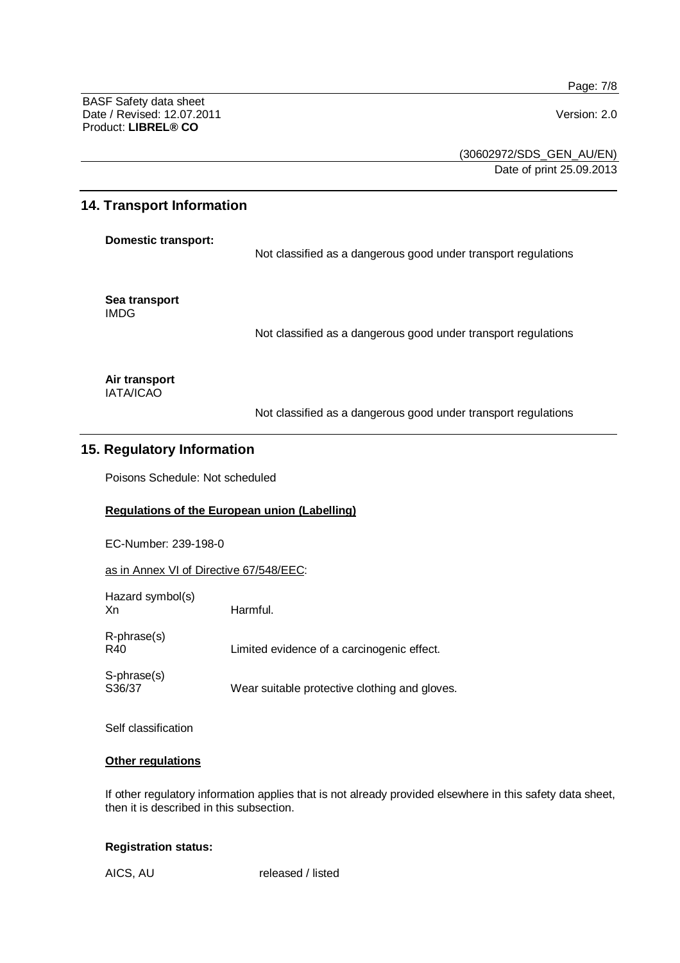Page: 7/8

BASF Safety data sheet Date / Revised: 12.07.2011 **Version: 2.0** Product: **LIBREL® CO**

(30602972/SDS\_GEN\_AU/EN) Date of print 25.09.2013

## **14. Transport Information**

**Domestic transport:** 

Not classified as a dangerous good under transport regulations

**Sea transport**  IMDG

Not classified as a dangerous good under transport regulations

**Air transport**  IATA/ICAO

Not classified as a dangerous good under transport regulations

# **15. Regulatory Information**

Poisons Schedule: Not scheduled

## **Regulations of the European union (Labelling)**

EC-Number: 239-198-0

as in Annex VI of Directive 67/548/EEC:

| Hazard symbol(s)<br>Xn   | Harmful.                                      |
|--------------------------|-----------------------------------------------|
| $R$ -phrase $(s)$<br>R40 | Limited evidence of a carcinogenic effect.    |
| S-phrase(s)<br>S36/37    | Wear suitable protective clothing and gloves. |

Self classification

#### **Other regulations**

If other regulatory information applies that is not already provided elsewhere in this safety data sheet, then it is described in this subsection.

#### **Registration status:**

AICS, AU released / listed